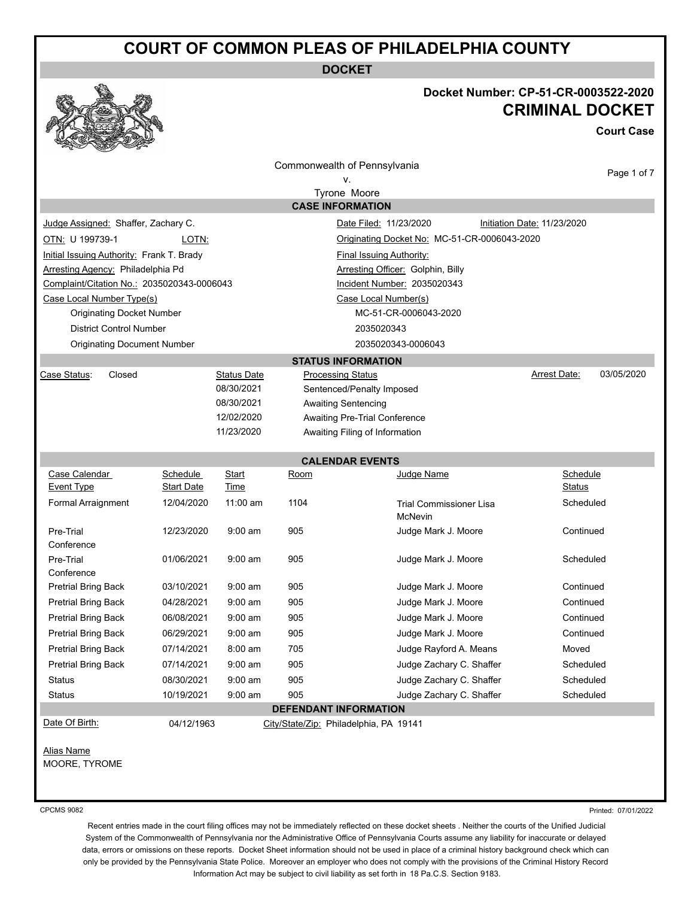**DOCKET**

### **Docket Number: CP-51-CR-0003522-2020 CRIMINAL DOCKET**

**Court Case**

|                                                                                             |                                                                                                   |                                                       | Commonwealth of Pennsylvania<br>ν.<br>Tyrone Moore |                                           | Page 1 of 7                |  |  |
|---------------------------------------------------------------------------------------------|---------------------------------------------------------------------------------------------------|-------------------------------------------------------|----------------------------------------------------|-------------------------------------------|----------------------------|--|--|
| Judge Assigned: Shaffer, Zachary C.<br>OTN: U 199739-1<br>Arresting Agency: Philadelphia Pd |                                                                                                   |                                                       |                                                    |                                           |                            |  |  |
|                                                                                             |                                                                                                   |                                                       |                                                    |                                           |                            |  |  |
|                                                                                             |                                                                                                   |                                                       | <b>CASE INFORMATION</b>                            |                                           |                            |  |  |
|                                                                                             |                                                                                                   |                                                       |                                                    |                                           |                            |  |  |
|                                                                                             |                                                                                                   | Date Filed: 11/23/2020<br>Initiation Date: 11/23/2020 |                                                    |                                           |                            |  |  |
|                                                                                             | LOTN:<br>Originating Docket No: MC-51-CR-0006043-2020                                             |                                                       |                                                    |                                           |                            |  |  |
|                                                                                             | Initial Issuing Authority: Frank T. Brady<br>Final Issuing Authority:                             |                                                       |                                                    |                                           |                            |  |  |
|                                                                                             | Arresting Officer: Golphin, Billy                                                                 |                                                       |                                                    |                                           |                            |  |  |
| Case Local Number Type(s)                                                                   | Complaint/Citation No.: 2035020343-0006043<br>Incident Number: 2035020343<br>Case Local Number(s) |                                                       |                                                    |                                           |                            |  |  |
| <b>Originating Docket Number</b>                                                            |                                                                                                   |                                                       |                                                    | MC-51-CR-0006043-2020                     |                            |  |  |
| <b>District Control Number</b>                                                              |                                                                                                   |                                                       |                                                    | 2035020343                                |                            |  |  |
| <b>Originating Document Number</b>                                                          |                                                                                                   |                                                       |                                                    | 2035020343-0006043                        |                            |  |  |
|                                                                                             |                                                                                                   |                                                       | <b>STATUS INFORMATION</b>                          |                                           |                            |  |  |
| Case Status:<br>Closed                                                                      |                                                                                                   | <b>Status Date</b>                                    | Processing Status                                  |                                           | 03/05/2020<br>Arrest Date: |  |  |
|                                                                                             |                                                                                                   | 08/30/2021                                            |                                                    | Sentenced/Penalty Imposed                 |                            |  |  |
|                                                                                             |                                                                                                   | 08/30/2021                                            | <b>Awaiting Sentencing</b>                         |                                           |                            |  |  |
|                                                                                             |                                                                                                   | 12/02/2020                                            |                                                    | Awaiting Pre-Trial Conference             |                            |  |  |
|                                                                                             |                                                                                                   | 11/23/2020                                            |                                                    | Awaiting Filing of Information            |                            |  |  |
|                                                                                             |                                                                                                   |                                                       | <b>CALENDAR EVENTS</b>                             |                                           |                            |  |  |
| Case Calendar                                                                               | Schedule                                                                                          | <b>Start</b>                                          | Room                                               | Judge Name                                | Schedule                   |  |  |
| <b>Event Type</b>                                                                           | Start Date                                                                                        | Time                                                  |                                                    |                                           | Status                     |  |  |
| <b>Formal Arraignment</b>                                                                   | 12/04/2020                                                                                        | 11:00 am                                              | 1104                                               | <b>Trial Commissioner Lisa</b><br>McNevin | Scheduled                  |  |  |
| Pre-Trial                                                                                   | 12/23/2020                                                                                        | $9:00$ am                                             | 905                                                | Judge Mark J. Moore                       | Continued                  |  |  |
| Conference                                                                                  |                                                                                                   |                                                       |                                                    |                                           |                            |  |  |
| Pre-Trial                                                                                   | 01/06/2021                                                                                        | $9:00$ am                                             | 905                                                | Judge Mark J. Moore                       | Scheduled                  |  |  |
| Conference<br><b>Pretrial Bring Back</b>                                                    | 03/10/2021                                                                                        | $9:00$ am                                             | 905                                                | Judge Mark J. Moore                       | Continued                  |  |  |
| <b>Pretrial Bring Back</b>                                                                  | 04/28/2021                                                                                        | $9:00$ am                                             | 905                                                | Judge Mark J. Moore                       | Continued                  |  |  |
| <b>Pretrial Bring Back</b>                                                                  | 06/08/2021                                                                                        | $9:00$ am                                             | 905                                                | Judge Mark J. Moore                       | Continued                  |  |  |
| <b>Pretrial Bring Back</b>                                                                  | 06/29/2021                                                                                        | $9:00$ am                                             | 905                                                | Judge Mark J. Moore                       | Continued                  |  |  |
| <b>Pretrial Bring Back</b>                                                                  | 07/14/2021                                                                                        | 8:00 am                                               | 705                                                | Judge Rayford A. Means                    | Moved                      |  |  |
| <b>Pretrial Bring Back</b>                                                                  | 07/14/2021                                                                                        | $9:00$ am                                             | 905                                                | Judge Zachary C. Shaffer                  | Scheduled                  |  |  |
| <b>Status</b>                                                                               | 08/30/2021                                                                                        | $9:00$ am                                             | 905                                                | Judge Zachary C. Shaffer                  | Scheduled                  |  |  |
| <b>Status</b>                                                                               | 10/19/2021                                                                                        | $9:00$ am                                             | 905                                                | Judge Zachary C. Shaffer                  | Scheduled                  |  |  |
|                                                                                             |                                                                                                   |                                                       | DEFENDANT INFORMATION                              |                                           |                            |  |  |
| Date Of Birth:                                                                              | 04/12/1963                                                                                        |                                                       | City/State/Zip: Philadelphia, PA 19141             |                                           |                            |  |  |

#### CPCMS 9082

Printed: 07/01/2022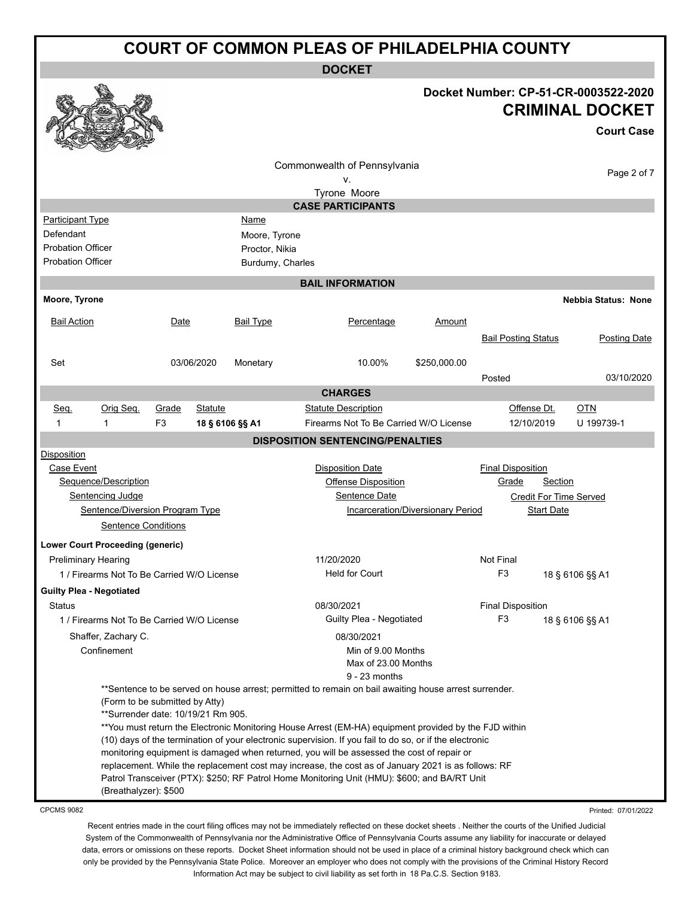**DOCKET**

|                                            |                                    |            |                  | <b>DUUNEI</b>                                                                                                                                                                                       |                                   |                            |                                      |
|--------------------------------------------|------------------------------------|------------|------------------|-----------------------------------------------------------------------------------------------------------------------------------------------------------------------------------------------------|-----------------------------------|----------------------------|--------------------------------------|
|                                            |                                    |            |                  |                                                                                                                                                                                                     |                                   |                            | Docket Number: CP-51-CR-0003522-2020 |
|                                            |                                    |            |                  |                                                                                                                                                                                                     |                                   |                            | <b>CRIMINAL DOCKET</b>               |
|                                            |                                    |            |                  |                                                                                                                                                                                                     |                                   |                            | <b>Court Case</b>                    |
|                                            |                                    |            |                  | Commonwealth of Pennsylvania                                                                                                                                                                        |                                   |                            | Page 2 of 7                          |
|                                            |                                    |            |                  | ν.<br>Tyrone Moore                                                                                                                                                                                  |                                   |                            |                                      |
|                                            |                                    |            |                  | <b>CASE PARTICIPANTS</b>                                                                                                                                                                            |                                   |                            |                                      |
| <b>Participant Type</b>                    |                                    |            | <u>Name</u>      |                                                                                                                                                                                                     |                                   |                            |                                      |
| Defendant                                  |                                    |            | Moore, Tyrone    |                                                                                                                                                                                                     |                                   |                            |                                      |
| <b>Probation Officer</b>                   |                                    |            | Proctor, Nikia   |                                                                                                                                                                                                     |                                   |                            |                                      |
| <b>Probation Officer</b>                   |                                    |            | Burdumy, Charles |                                                                                                                                                                                                     |                                   |                            |                                      |
|                                            |                                    |            |                  | <b>BAIL INFORMATION</b>                                                                                                                                                                             |                                   |                            |                                      |
| Moore, Tyrone                              |                                    |            |                  |                                                                                                                                                                                                     |                                   |                            | <b>Nebbia Status: None</b>           |
| <b>Bail Action</b>                         | Date                               |            | <b>Bail Type</b> | Percentage                                                                                                                                                                                          | Amount                            |                            |                                      |
|                                            |                                    |            |                  |                                                                                                                                                                                                     |                                   | <b>Bail Posting Status</b> | <b>Posting Date</b>                  |
| Set                                        |                                    | 03/06/2020 | Monetary         | 10.00%                                                                                                                                                                                              | \$250,000.00                      |                            |                                      |
|                                            |                                    |            |                  |                                                                                                                                                                                                     |                                   | Posted                     | 03/10/2020                           |
|                                            |                                    |            |                  | <b>CHARGES</b>                                                                                                                                                                                      |                                   |                            |                                      |
| Orig Seq.<br>Seq.                          | Grade                              | Statute    |                  | <b>Statute Description</b>                                                                                                                                                                          |                                   | Offense Dt.                | <b>OTN</b>                           |
| 1<br>1                                     | F3                                 |            | 18 § 6106 §§ A1  | Firearms Not To Be Carried W/O License                                                                                                                                                              |                                   | 12/10/2019                 | U 199739-1                           |
|                                            |                                    |            |                  | <b>DISPOSITION SENTENCING/PENALTIES</b>                                                                                                                                                             |                                   |                            |                                      |
| Disposition                                |                                    |            |                  |                                                                                                                                                                                                     |                                   |                            |                                      |
| Case Event                                 |                                    |            |                  | <b>Disposition Date</b>                                                                                                                                                                             |                                   | <b>Final Disposition</b>   |                                      |
| Sequence/Description                       |                                    |            |                  | <b>Offense Disposition</b>                                                                                                                                                                          |                                   | Grade<br>Section           |                                      |
| <b>Sentencing Judge</b>                    |                                    |            |                  | Sentence Date                                                                                                                                                                                       |                                   | Credit For Time Served     |                                      |
|                                            | Sentence/Diversion Program Type    |            |                  |                                                                                                                                                                                                     | Incarceration/Diversionary Period | Start Date                 |                                      |
|                                            | <b>Sentence Conditions</b>         |            |                  |                                                                                                                                                                                                     |                                   |                            |                                      |
| <b>Lower Court Proceeding (generic)</b>    |                                    |            |                  |                                                                                                                                                                                                     |                                   |                            |                                      |
| <b>Preliminary Hearing</b>                 |                                    |            |                  | 11/20/2020                                                                                                                                                                                          |                                   | <b>Not Final</b>           |                                      |
| 1 / Firearms Not To Be Carried W/O License |                                    |            |                  | <b>Held for Court</b>                                                                                                                                                                               |                                   | F <sub>3</sub>             | 18 § 6106 §§ A1                      |
| <b>Guilty Plea - Negotiated</b>            |                                    |            |                  |                                                                                                                                                                                                     |                                   |                            |                                      |
| <b>Status</b>                              |                                    |            |                  | 08/30/2021                                                                                                                                                                                          |                                   | <b>Final Disposition</b>   |                                      |
| 1 / Firearms Not To Be Carried W/O License |                                    |            |                  | Guilty Plea - Negotiated                                                                                                                                                                            |                                   | F <sub>3</sub>             | 18 § 6106 §§ A1                      |
| Shaffer, Zachary C.                        |                                    |            |                  | 08/30/2021                                                                                                                                                                                          |                                   |                            |                                      |
| Confinement                                |                                    |            |                  | Min of 9.00 Months                                                                                                                                                                                  |                                   |                            |                                      |
|                                            |                                    |            |                  | Max of 23.00 Months                                                                                                                                                                                 |                                   |                            |                                      |
|                                            |                                    |            |                  | $9 - 23$ months<br>**Sentence to be served on house arrest; permitted to remain on bail awaiting house arrest surrender.                                                                            |                                   |                            |                                      |
|                                            | (Form to be submitted by Atty)     |            |                  |                                                                                                                                                                                                     |                                   |                            |                                      |
|                                            | **Surrender date: 10/19/21 Rm 905. |            |                  |                                                                                                                                                                                                     |                                   |                            |                                      |
|                                            |                                    |            |                  | **You must return the Electronic Monitoring House Arrest (EM-HA) equipment provided by the FJD within                                                                                               |                                   |                            |                                      |
|                                            |                                    |            |                  | (10) days of the termination of your electronic supervision. If you fail to do so, or if the electronic                                                                                             |                                   |                            |                                      |
|                                            |                                    |            |                  | monitoring equipment is damaged when returned, you will be assessed the cost of repair or                                                                                                           |                                   |                            |                                      |
|                                            |                                    |            |                  | replacement. While the replacement cost may increase, the cost as of January 2021 is as follows: RF<br>Patrol Transceiver (PTX): \$250; RF Patrol Home Monitoring Unit (HMU): \$600; and BA/RT Unit |                                   |                            |                                      |
|                                            | (Breathalyzer): \$500              |            |                  |                                                                                                                                                                                                     |                                   |                            |                                      |
| CROMS 0082                                 |                                    |            |                  |                                                                                                                                                                                                     |                                   |                            | Drinted: 07/04/0000                  |

CPCMS 9082

Printed: 07/01/20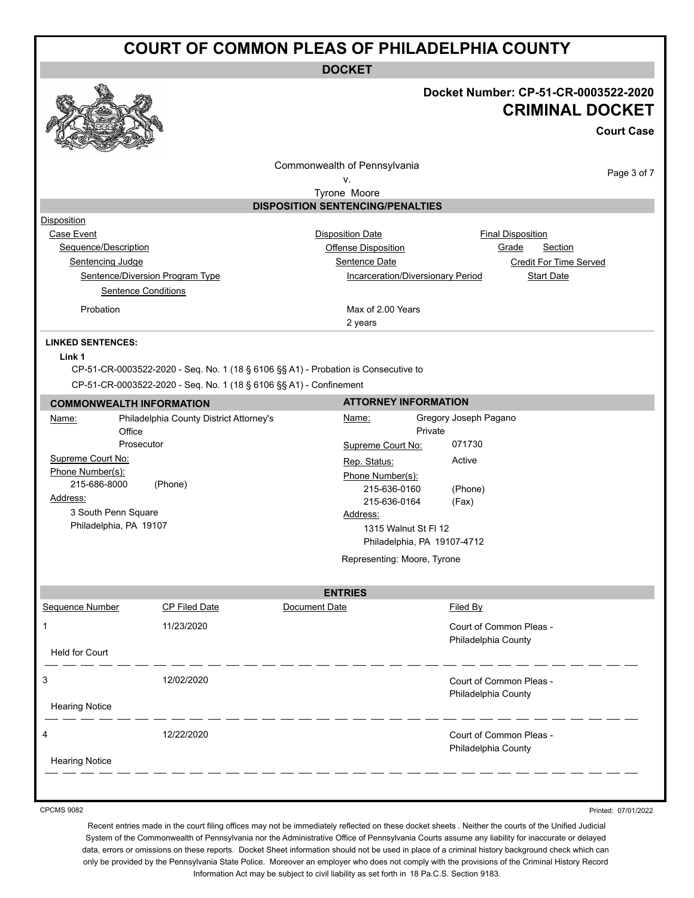**DOCKET**

### **Docket Number: CP-51-CR-0003522-2020 CRIMINAL DOCKET**

**Court Case**

Commonwealth of Pennsylvania

Page 3 of 7

v. Tyrone Moore

### **DISPOSITION SENTENCING/PENALTIES**

| Disposition                     |                                   |                               |
|---------------------------------|-----------------------------------|-------------------------------|
| Case Event                      | <b>Disposition Date</b>           | <b>Final Disposition</b>      |
| Sequence/Description            | Offense Disposition               | Section<br>Grade              |
| Sentencing Judge                | Sentence Date                     | <b>Credit For Time Served</b> |
| Sentence/Diversion Program Type | Incarceration/Diversionary Period |                               |
| <b>Sentence Conditions</b>      |                                   |                               |
| Probation                       | Max of 2.00 Years                 |                               |
|                                 | 2 years                           |                               |

### **LINKED SENTENCES:**

### **Link 1**

CP-51-CR-0003522-2020 - Seq. No. 1 (18 § 6106 §§ A1) - Probation is Consecutive to CP-51-CR-0003522-2020 - Seq. No. 1 (18 § 6106 §§ A1) - Confinement

| <b>COMMONWEALTH INFORMATION</b>                                                                                    |                                                       |                                                                              | <b>ATTORNEY INFORMATION</b>                                                       |  |  |
|--------------------------------------------------------------------------------------------------------------------|-------------------------------------------------------|------------------------------------------------------------------------------|-----------------------------------------------------------------------------------|--|--|
| Name:<br>Office                                                                                                    | Philadelphia County District Attorney's<br>Prosecutor | <u>Name:</u><br>Supreme Court No:                                            | Gregory Joseph Pagano<br>Private<br>071730                                        |  |  |
| Supreme Court No:<br>Phone Number(s):<br>215-686-8000<br>Address:<br>3 South Penn Square<br>Philadelphia, PA 19107 | (Phone)                                               | Rep. Status:<br>Phone Number(s):<br>215-636-0160<br>215-636-0164<br>Address: | Active<br>(Phone)<br>(Fax)<br>1315 Walnut St FI 12<br>Philadelphia, PA 19107-4712 |  |  |
|                                                                                                                    |                                                       | Representing: Moore, Tyrone                                                  |                                                                                   |  |  |
|                                                                                                                    |                                                       | <b>ENTRIES</b>                                                               |                                                                                   |  |  |
| <b>Sequence Number</b>                                                                                             | CP Filed Date                                         | Document Date                                                                | Filed By                                                                          |  |  |
| 1                                                                                                                  | 11/23/2020                                            |                                                                              | Court of Common Pleas -<br>Philadelphia County                                    |  |  |
| <b>Held for Court</b>                                                                                              |                                                       |                                                                              |                                                                                   |  |  |
| 3<br><b>Hearing Notice</b>                                                                                         | 12/02/2020                                            |                                                                              | Court of Common Pleas -<br>Philadelphia County                                    |  |  |
| 4<br><b>Hearing Notice</b>                                                                                         | 12/22/2020                                            |                                                                              | Court of Common Pleas -<br>Philadelphia County                                    |  |  |
|                                                                                                                    |                                                       |                                                                              |                                                                                   |  |  |

CPCMS 9082

Printed: 07/01/2022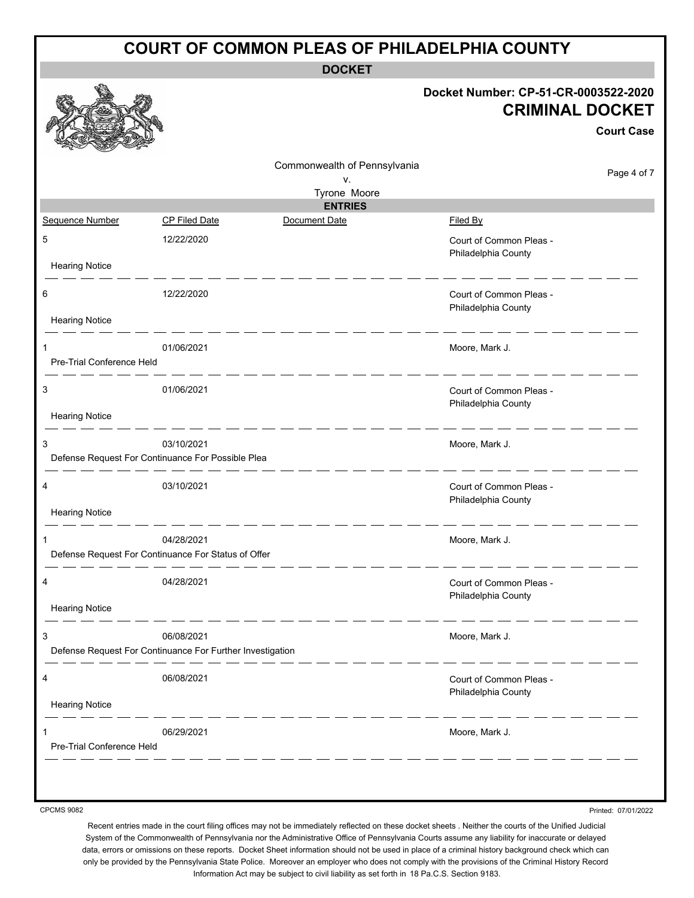| <b>COURT OF COMMON PLEAS OF PHILADELPHIA COUNTY</b> |                                                                         |                                    |                                                                                     |  |
|-----------------------------------------------------|-------------------------------------------------------------------------|------------------------------------|-------------------------------------------------------------------------------------|--|
| <b>DOCKET</b>                                       |                                                                         |                                    |                                                                                     |  |
|                                                     |                                                                         |                                    | Docket Number: CP-51-CR-0003522-2020<br><b>CRIMINAL DOCKET</b><br><b>Court Case</b> |  |
|                                                     |                                                                         | Commonwealth of Pennsylvania<br>ν. | Page 4 of 7                                                                         |  |
|                                                     |                                                                         | Tyrone Moore                       |                                                                                     |  |
| Sequence Number                                     | CP Filed Date                                                           | <b>ENTRIES</b><br>Document Date    | Filed By                                                                            |  |
| 5<br><b>Hearing Notice</b>                          | 12/22/2020                                                              |                                    | Court of Common Pleas -<br>Philadelphia County                                      |  |
|                                                     |                                                                         |                                    |                                                                                     |  |
| 6                                                   | 12/22/2020                                                              |                                    | Court of Common Pleas -<br>Philadelphia County                                      |  |
| <b>Hearing Notice</b>                               |                                                                         |                                    |                                                                                     |  |
| 1<br>Pre-Trial Conference Held                      | 01/06/2021                                                              |                                    | Moore, Mark J.                                                                      |  |
| 3                                                   | 01/06/2021                                                              |                                    | Court of Common Pleas -<br>Philadelphia County                                      |  |
| <b>Hearing Notice</b>                               |                                                                         |                                    |                                                                                     |  |
| 3                                                   | 03/10/2021<br>Defense Request For Continuance For Possible Plea         |                                    | Moore, Mark J.                                                                      |  |
| 4                                                   | 03/10/2021                                                              |                                    | Court of Common Pleas -<br>Philadelphia County                                      |  |
| <b>Hearing Notice</b>                               |                                                                         |                                    |                                                                                     |  |
|                                                     | 04/28/2021<br>Defense Request For Continuance For Status of Offer       |                                    | Moore, Mark J.                                                                      |  |
| 4                                                   | 04/28/2021                                                              |                                    | Court of Common Pleas -<br>Philadelphia County                                      |  |
| <b>Hearing Notice</b>                               |                                                                         |                                    |                                                                                     |  |
| 3                                                   | 06/08/2021<br>Defense Request For Continuance For Further Investigation |                                    | Moore, Mark J.                                                                      |  |
|                                                     |                                                                         |                                    |                                                                                     |  |
| 4<br><b>Hearing Notice</b>                          | 06/08/2021                                                              |                                    | Court of Common Pleas -<br>Philadelphia County                                      |  |
|                                                     |                                                                         |                                    |                                                                                     |  |
| Pre-Trial Conference Held                           | 06/29/2021                                                              |                                    | Moore, Mark J.                                                                      |  |
|                                                     |                                                                         |                                    |                                                                                     |  |
| <b>CPCMS 9082</b>                                   |                                                                         |                                    | Printed: 07/01/2022                                                                 |  |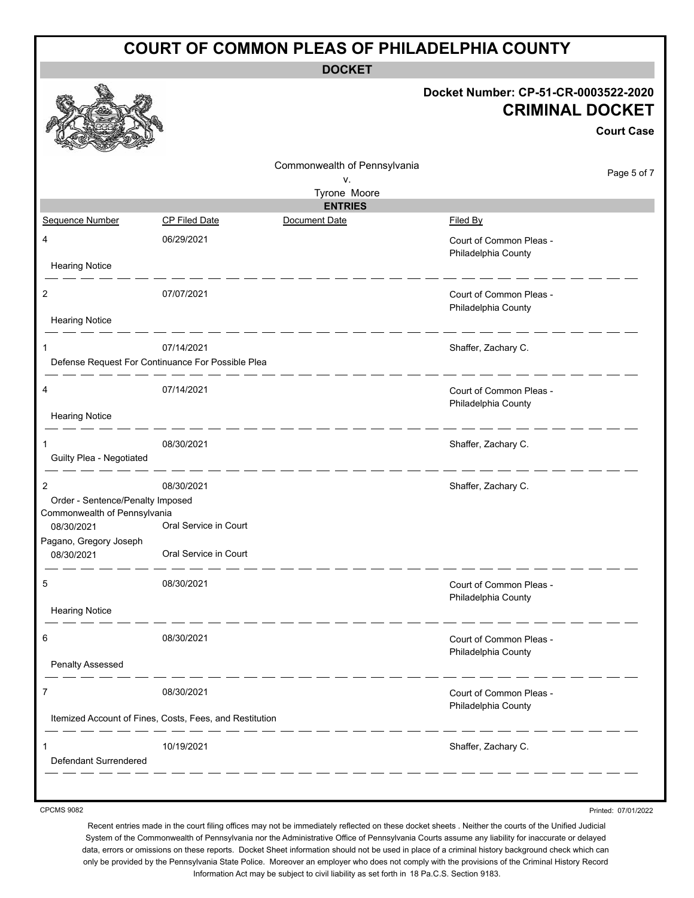| <b>COURT OF COMMON PLEAS OF PHILADELPHIA COUNTY</b> |                                                                 |                              |                                                                                     |  |
|-----------------------------------------------------|-----------------------------------------------------------------|------------------------------|-------------------------------------------------------------------------------------|--|
| <b>DOCKET</b>                                       |                                                                 |                              |                                                                                     |  |
|                                                     |                                                                 |                              | Docket Number: CP-51-CR-0003522-2020<br><b>CRIMINAL DOCKET</b><br><b>Court Case</b> |  |
|                                                     |                                                                 | Commonwealth of Pennsylvania | Page 5 of 7                                                                         |  |
|                                                     |                                                                 | ٧.<br>Tyrone Moore           |                                                                                     |  |
|                                                     |                                                                 | <b>ENTRIES</b>               |                                                                                     |  |
| Sequence Number                                     | CP Filed Date                                                   | Document Date                | Filed By                                                                            |  |
| 4                                                   | 06/29/2021                                                      |                              | Court of Common Pleas -<br>Philadelphia County                                      |  |
| <b>Hearing Notice</b>                               |                                                                 |                              |                                                                                     |  |
| 2<br><b>Hearing Notice</b>                          | 07/07/2021                                                      |                              | Court of Common Pleas -<br>Philadelphia County                                      |  |
|                                                     |                                                                 |                              |                                                                                     |  |
| 1                                                   | 07/14/2021<br>Defense Request For Continuance For Possible Plea |                              | Shaffer, Zachary C.                                                                 |  |
| 4                                                   | 07/14/2021                                                      |                              | Court of Common Pleas -<br>Philadelphia County                                      |  |
| <b>Hearing Notice</b>                               |                                                                 |                              |                                                                                     |  |
| 1<br>Guilty Plea - Negotiated                       | 08/30/2021                                                      |                              | Shaffer, Zachary C.                                                                 |  |
| 2<br>Order - Sentence/Penalty Imposed               | 08/30/2021                                                      |                              | Shaffer, Zachary C.                                                                 |  |
| Commonwealth of Pennsylvania                        |                                                                 |                              |                                                                                     |  |
| 08/30/2021                                          | Oral Service in Court                                           |                              |                                                                                     |  |
| Pagano, Gregory Joseph<br>08/30/2021                | Oral Service in Court                                           |                              |                                                                                     |  |
| 5                                                   | 08/30/2021                                                      |                              | Court of Common Pleas -<br>Philadelphia County                                      |  |
| <b>Hearing Notice</b>                               |                                                                 |                              |                                                                                     |  |
| 6                                                   | 08/30/2021                                                      |                              | Court of Common Pleas -<br>Philadelphia County                                      |  |
| Penalty Assessed                                    |                                                                 |                              |                                                                                     |  |
| 7                                                   | 08/30/2021                                                      |                              | Court of Common Pleas -<br>Philadelphia County                                      |  |
|                                                     | Itemized Account of Fines, Costs, Fees, and Restitution         |                              |                                                                                     |  |
| Defendant Surrendered                               | 10/19/2021                                                      |                              | Shaffer, Zachary C.                                                                 |  |
|                                                     |                                                                 |                              |                                                                                     |  |

CPCMS 9082

Printed: 07/01/2022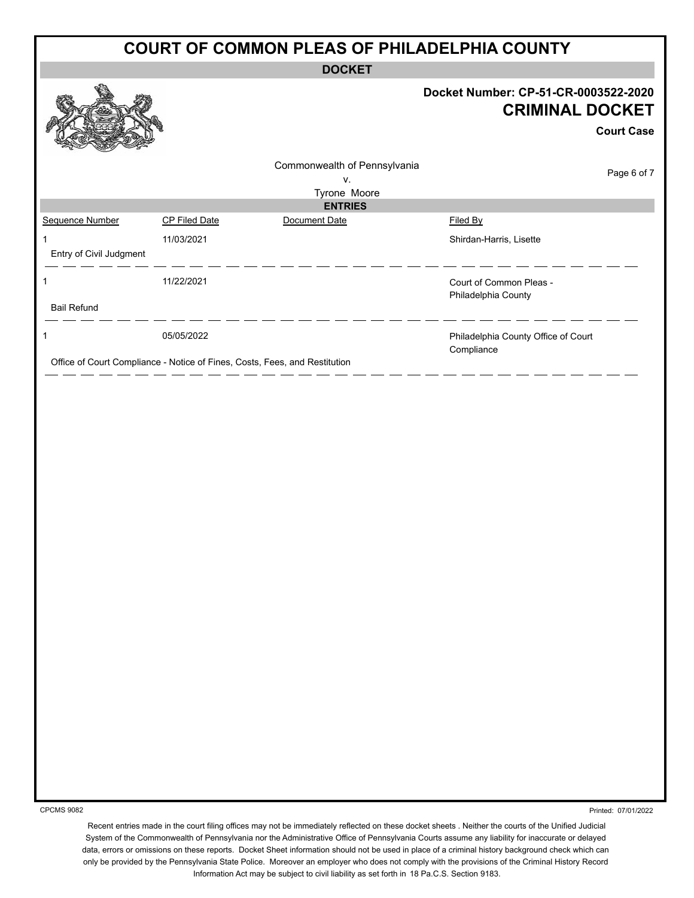|                         |                                                                            |                                | <b>COURT OF COMMON PLEAS OF PHILADELPHIA COUNTY</b>                                 |
|-------------------------|----------------------------------------------------------------------------|--------------------------------|-------------------------------------------------------------------------------------|
|                         |                                                                            | <b>DOCKET</b>                  |                                                                                     |
|                         |                                                                            |                                | Docket Number: CP-51-CR-0003522-2020<br><b>CRIMINAL DOCKET</b><br><b>Court Case</b> |
|                         |                                                                            | Commonwealth of Pennsylvania   |                                                                                     |
|                         |                                                                            | V.                             | Page 6 of 7                                                                         |
|                         |                                                                            | Tyrone Moore<br><b>ENTRIES</b> |                                                                                     |
| Sequence Number         | <b>CP Filed Date</b>                                                       | Document Date                  | Filed By                                                                            |
| 1                       | 11/03/2021                                                                 |                                | Shirdan-Harris, Lisette                                                             |
| Entry of Civil Judgment |                                                                            |                                |                                                                                     |
| 1                       | 11/22/2021                                                                 |                                | Court of Common Pleas -<br>Philadelphia County                                      |
| <b>Bail Refund</b>      |                                                                            |                                |                                                                                     |
|                         | 05/05/2022                                                                 |                                | Philadelphia County Office of Court<br>Compliance                                   |
|                         | Office of Court Compliance - Notice of Fines, Costs, Fees, and Restitution |                                |                                                                                     |

CPCMS 9082

Printed: 07/01/2022